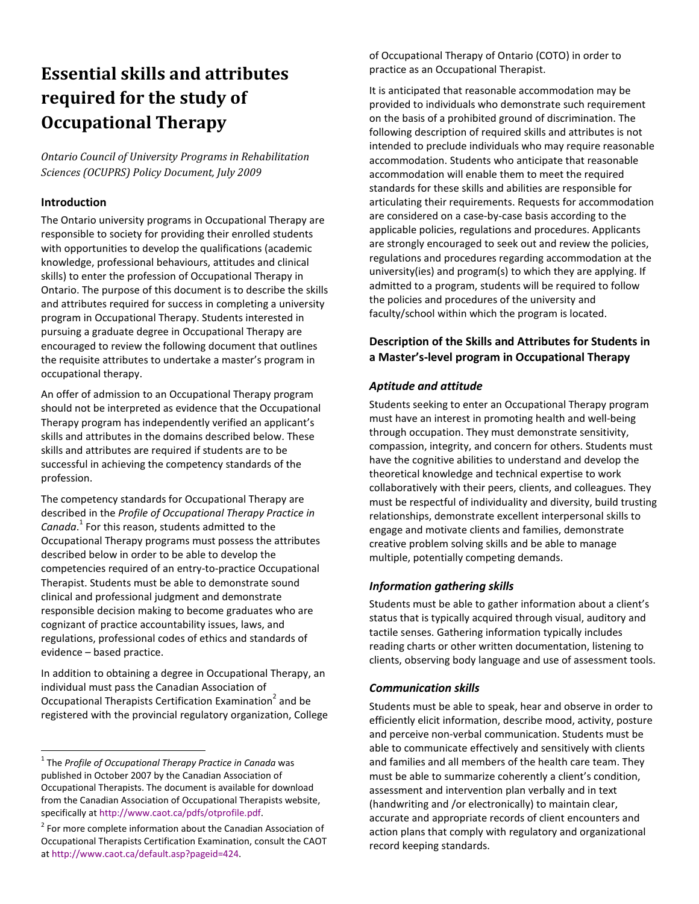# **Essential skills and attributes required for the study of Occupational Therapy**

*Ontario Council of University Programs in Rehabilitation Sciences (OCUPRS) Policy Document, July 2009*

#### **Introduction**

The Ontario university programs in Occupational Therapy are responsible to society for providing their enrolled students with opportunities to develop the qualifications (academic knowledge, professional behaviours, attitudes and clinical skills) to enter the profession of Occupational Therapy in Ontario. The purpose of this document is to describe the skills and attributes required for success in completing a university program in Occupational Therapy. Students interested in pursuing a graduate degree in Occupational Therapy are encouraged to review the following document that outlines the requisite attributes to undertake a master's program in occupational therapy.

An offer of admission to an Occupational Therapy program should not be interpreted as evidence that the Occupational Therapy program has independently verified an applicant's skills and attributes in the domains described below. These skills and attributes are required if students are to be successful in achieving the competency standards of the profession.

The competency standards for Occupational Therapy are described in the *Profile of Occupational Therapy Practice in Canada*. <sup>1</sup> For this reason, students admitted to the Occupational Therapy programs must possess the attributes described below in order to be able to develop the competencies required of an entry-to-practice Occupational Therapist. Students must be able to demonstrate sound clinical and professional judgment and demonstrate responsible decision making to become graduates who are cognizant of practice accountability issues, laws, and regulations, professional codes of ethics and standards of evidence – based practice.

In addition to obtaining a degree in Occupational Therapy, an individual must pass the Canadian Association of Occupational Therapists Certification Examination<sup>2</sup> and be registered with the provincial regulatory organization, College of Occupational Therapy of Ontario (COTO) in order to practice as an Occupational Therapist.

It is anticipated that reasonable accommodation may be provided to individuals who demonstrate such requirement on the basis of a prohibited ground of discrimination. The following description of required skills and attributes is not intended to preclude individuals who may require reasonable accommodation. Students who anticipate that reasonable accommodation will enable them to meet the required standards for these skills and abilities are responsible for articulating their requirements. Requests for accommodation are considered on a case-by-case basis according to the applicable policies, regulations and procedures. Applicants are strongly encouraged to seek out and review the policies, regulations and procedures regarding accommodation at the university(ies) and program(s) to which they are applying. If admitted to a program, students will be required to follow the policies and procedures of the university and faculty/school within which the program is located.

## **Description of the Skills and Attributes for Students in a Master's-level program in Occupational Therapy**

### *Aptitude and attitude*

Students seeking to enter an Occupational Therapy program must have an interest in promoting health and well-being through occupation. They must demonstrate sensitivity, compassion, integrity, and concern for others. Students must have the cognitive abilities to understand and develop the theoretical knowledge and technical expertise to work collaboratively with their peers, clients, and colleagues. They must be respectful of individuality and diversity, build trusting relationships, demonstrate excellent interpersonal skills to engage and motivate clients and families, demonstrate creative problem solving skills and be able to manage multiple, potentially competing demands.

#### *Information gathering skills*

Students must be able to gather information about a client's status that is typically acquired through visual, auditory and tactile senses. Gathering information typically includes reading charts or other written documentation, listening to clients, observing body language and use of assessment tools.

#### *Communication skills*

Students must be able to speak, hear and observe in order to efficiently elicit information, describe mood, activity, posture and perceive non-verbal communication. Students must be able to communicate effectively and sensitively with clients and families and all members of the health care team. They must be able to summarize coherently a client's condition, assessment and intervention plan verbally and in text (handwriting and /or electronically) to maintain clear, accurate and appropriate records of client encounters and action plans that comply with regulatory and organizational record keeping standards.

<sup>1</sup> The *Profile of Occupational Therapy Practice in Canada* was published in October 2007 by the Canadian Association of Occupational Therapists. The document is available for download from the Canadian Association of Occupational Therapists website, specifically at http://www.caot.ca/pdfs/otprofile.pdf.

<sup>&</sup>lt;sup>2</sup> For more complete information about the Canadian Association of Occupational Therapists Certification Examination, consult the CAOT at http://www.caot.ca/default.asp?pageid=424.